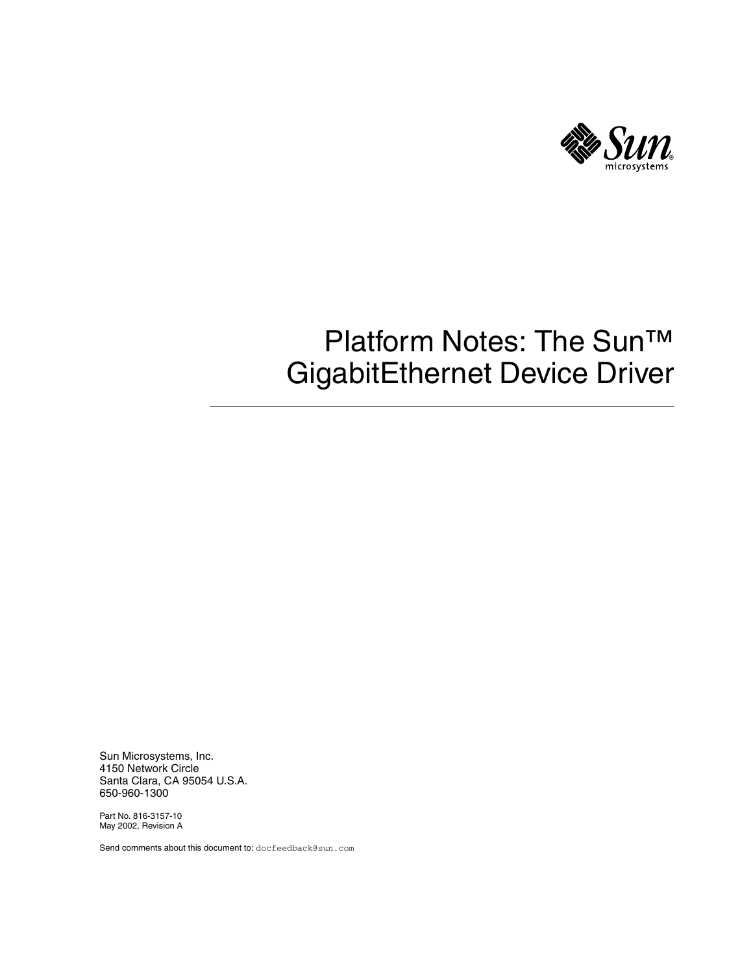

# Platform Notes: The Sun™ GigabitEthernet Device Driver

Sun Microsystems, Inc. 4150 Network Circle Santa Clara, CA 95054 U.S.A. 650-960-1300

Part No. 816-3157-10 May 2002, Revision A

Send comments about this document to: docfeedback@sun.com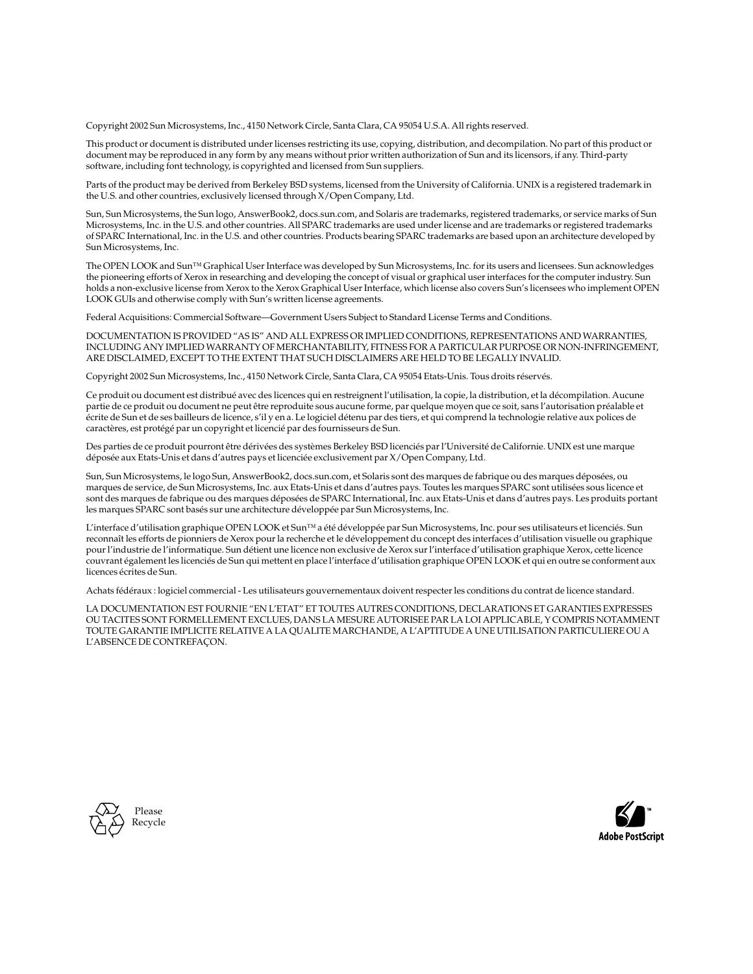Copyright 2002 Sun Microsystems, Inc., 4150 Network Circle, Santa Clara, CA 95054 U.S.A. All rights reserved.

This product or document is distributed under licenses restricting its use, copying, distribution, and decompilation. No part of this product or document may be reproduced in any form by any means without prior written authorization of Sun and its licensors, if any. Third-party software, including font technology, is copyrighted and licensed from Sun suppliers.

Parts of the product may be derived from Berkeley BSD systems, licensed from the University of California. UNIX is a registered trademark in the U.S. and other countries, exclusively licensed through X/Open Company, Ltd.

Sun, Sun Microsystems, the Sun logo, AnswerBook2, docs.sun.com, and Solaris are trademarks, registered trademarks, or service marks of Sun Microsystems, Inc. in the U.S. and other countries. All SPARC trademarks are used under license and are trademarks or registered trademarks of SPARC International, Inc. in the U.S. and other countries. Products bearing SPARC trademarks are based upon an architecture developed by Sun Microsystems, Inc.

The OPEN LOOK and Sun™ Graphical User Interface was developed by Sun Microsystems, Inc. for its users and licensees. Sun acknowledges the pioneering efforts of Xerox in researching and developing the concept of visual or graphical user interfaces for the computer industry. Sun holds a non-exclusive license from Xerox to the Xerox Graphical User Interface, which license also covers Sun's licensees who implement OPEN LOOK GUIs and otherwise comply with Sun's written license agreements.

Federal Acquisitions: Commercial Software—Government Users Subject to Standard License Terms and Conditions.

DOCUMENTATION IS PROVIDED "AS IS" AND ALL EXPRESS OR IMPLIED CONDITIONS, REPRESENTATIONS AND WARRANTIES, INCLUDING ANY IMPLIED WARRANTY OF MERCHANTABILITY, FITNESS FOR A PARTICULAR PURPOSE OR NON-INFRINGEMENT, ARE DISCLAIMED, EXCEPT TO THE EXTENT THAT SUCH DISCLAIMERS ARE HELD TO BE LEGALLY INVALID.

Copyright 2002 Sun Microsystems, Inc., 4150 Network Circle, Santa Clara, CA 95054 Etats-Unis. Tous droits réservés.

Ce produit ou document est distribué avec des licences qui en restreignent l'utilisation, la copie, la distribution, et la décompilation. Aucune partie de ce produit ou document ne peut être reproduite sous aucune forme, par quelque moyen que ce soit, sans l'autorisation préalable et écrite de Sun et de ses bailleurs de licence, s'il y en a. Le logiciel détenu par des tiers, et qui comprend la technologie relative aux polices de caractères, est protégé par un copyright et licencié par des fournisseurs de Sun.

Des parties de ce produit pourront être dérivées des systèmes Berkeley BSD licenciés par l'Université de Californie. UNIX est une marque déposée aux Etats-Unis et dans d'autres pays et licenciée exclusivement par X/Open Company, Ltd.

Sun, Sun Microsystems, le logo Sun, AnswerBook2, docs.sun.com, et Solaris sont des marques de fabrique ou des marques déposées, ou marques de service, de Sun Microsystems, Inc. aux Etats-Unis et dans d'autres pays. Toutes les marques SPARC sont utilisées sous licence et sont des marques de fabrique ou des marques déposées de SPARC International, Inc. aux Etats-Unis et dans d'autres pays. Les produits portant les marques SPARC sont basés sur une architecture développée par Sun Microsystems, Inc.

L'interface d'utilisation graphique OPEN LOOK et Sun™ a été développée par Sun Microsystems, Inc. pour ses utilisateurs et licenciés. Sun reconnaît les efforts de pionniers de Xerox pour la recherche et le développement du concept des interfaces d'utilisation visuelle ou graphique pour l'industrie de l'informatique. Sun détient une licence non exclusive de Xerox sur l'interface d'utilisation graphique Xerox, cette licence couvrant également les licenciés de Sun qui mettent en place l'interface d'utilisation graphique OPEN LOOK et qui en outre se conforment aux licences écrites de Sun.

Achats fédéraux : logiciel commercial - Les utilisateurs gouvernementaux doivent respecter les conditions du contrat de licence standard.

LA DOCUMENTATION EST FOURNIE "EN L'ETAT" ET TOUTES AUTRES CONDITIONS, DECLARATIONS ET GARANTIES EXPRESSES OU TACITES SONT FORMELLEMENT EXCLUES, DANS LA MESURE AUTORISEE PAR LA LOI APPLICABLE, Y COMPRIS NOTAMMENT TOUTE GARANTIE IMPLICITE RELATIVE A LA QUALITE MARCHANDE, A L'APTITUDE A UNE UTILISATION PARTICULIERE OU A L'ABSENCE DE CONTREFAÇON.



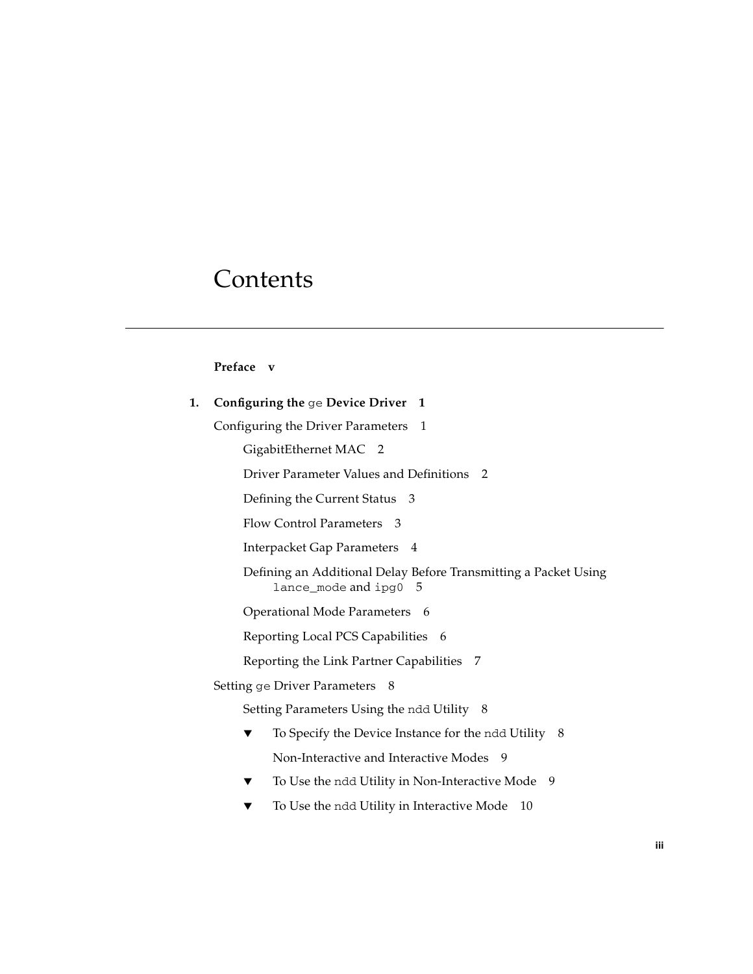# **Contents**

#### **[Preface](#page-4-0) v**

| 1. | Configuring the ge Device Driver 1                                                            |  |  |
|----|-----------------------------------------------------------------------------------------------|--|--|
|    | Configuring the Driver Parameters<br>- 1                                                      |  |  |
|    | GigabitEthernet MAC 2                                                                         |  |  |
|    | Driver Parameter Values and Definitions 2                                                     |  |  |
|    | Defining the Current Status 3                                                                 |  |  |
|    | Flow Control Parameters 3                                                                     |  |  |
|    | Interpacket Gap Parameters 4                                                                  |  |  |
|    | Defining an Additional Delay Before Transmitting a Packet Using<br>$l$ ance_mode and ipg0 $5$ |  |  |
|    | Operational Mode Parameters 6                                                                 |  |  |
|    | Reporting Local PCS Capabilities 6                                                            |  |  |
|    | Reporting the Link Partner Capabilities 7                                                     |  |  |
|    | Setting ge Driver Parameters 8                                                                |  |  |
|    | Setting Parameters Using the ndd Utility 8                                                    |  |  |
|    | To Specify the Device Instance for the ndd Utility 8<br>▼                                     |  |  |
|    | Non-Interactive and Interactive Modes 9                                                       |  |  |
|    | To Use the ndd Utility in Non-Interactive Mode<br>9                                           |  |  |
|    | To Use the ndd Utility in Interactive Mode<br>10                                              |  |  |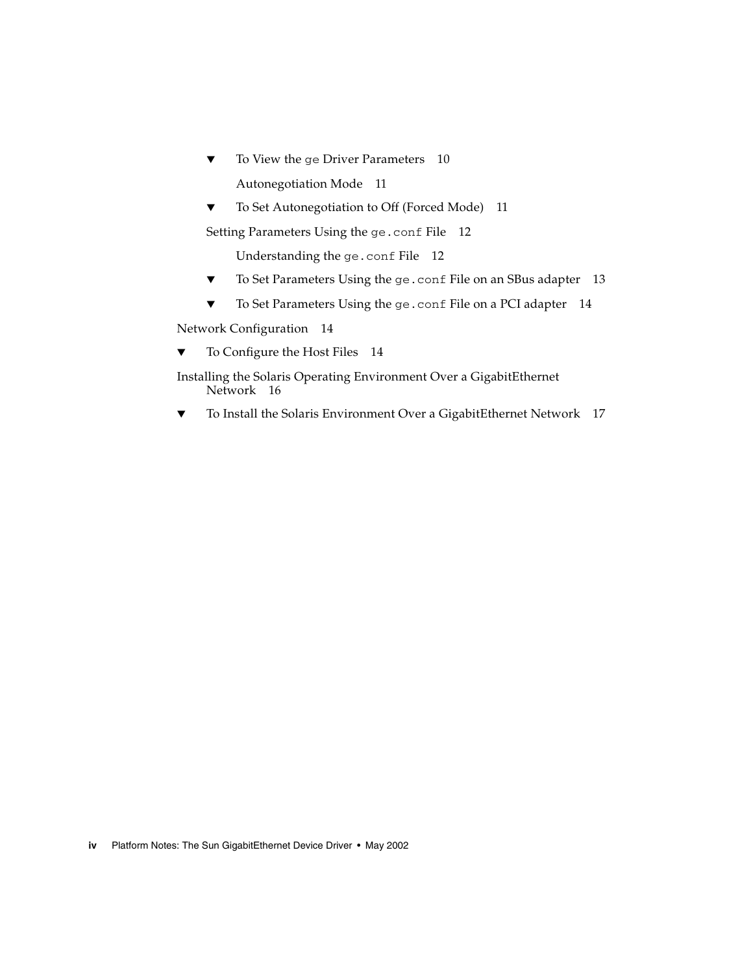- ▼ [To View the](#page-17-1) ge Driver Parameters 10 [Autonegotiation Mode](#page-18-0) 11
- [To Set Autonegotiation to Off \(Forced Mode\) 1](#page-18-1)1

[Setting Parameters Using the](#page-19-0) ge.conf File 12

[Understanding the](#page-19-1) ge.conf File 12

- ▼ [To Set Parameters Using the](#page-20-0) ge.conf File on an SBus adapter 13
- ▼ [To Set Parameters Using the](#page-21-0) ge.conf File on a PCI adapter 14

[Network Configuration 1](#page-21-1)4

[To Configure the Host Files 1](#page-21-2)4

[Installing the Solaris Operating Environment Over a GigabitEthernet](#page-23-0) [Network](#page-23-0) 16

▼ [To Install the Solaris Environment Over a GigabitEthernet Network](#page-24-0) 17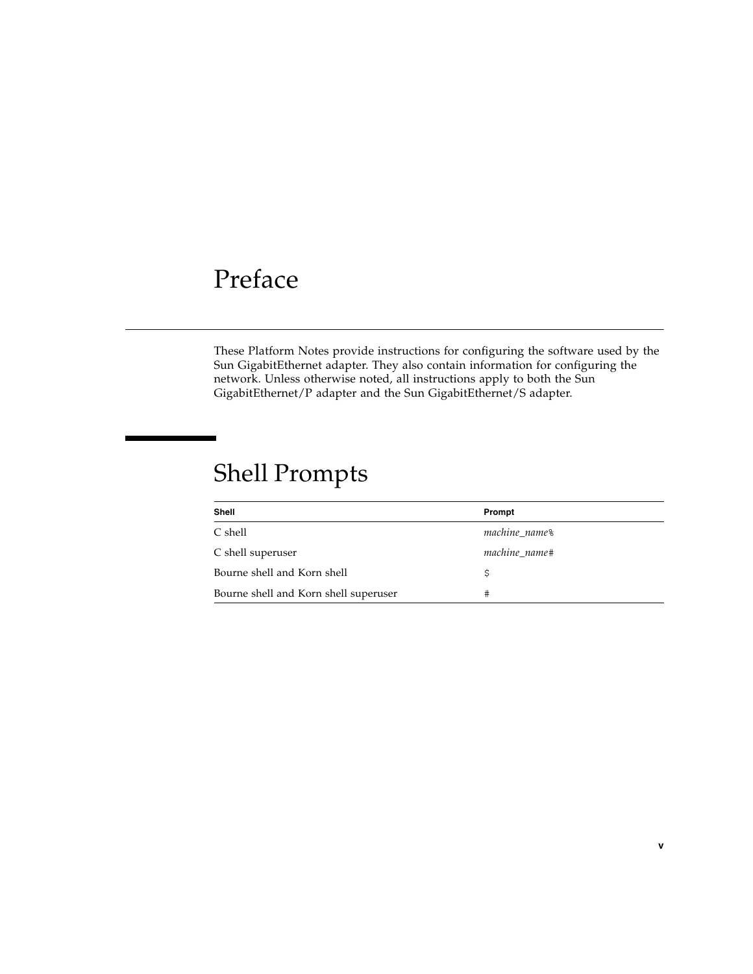# <span id="page-4-0"></span>Preface

These Platform Notes provide instructions for configuring the software used by the Sun GigabitEthernet adapter. They also contain information for configuring the network. Unless otherwise noted, all instructions apply to both the Sun GigabitEthernet/P adapter and the Sun GigabitEthernet/S adapter.

# Shell Prompts

| Shell                                 | Prompt        |
|---------------------------------------|---------------|
| C shell                               | machine_name% |
| C shell superuser                     | machine name# |
| Bourne shell and Korn shell           |               |
| Bourne shell and Korn shell superuser | #             |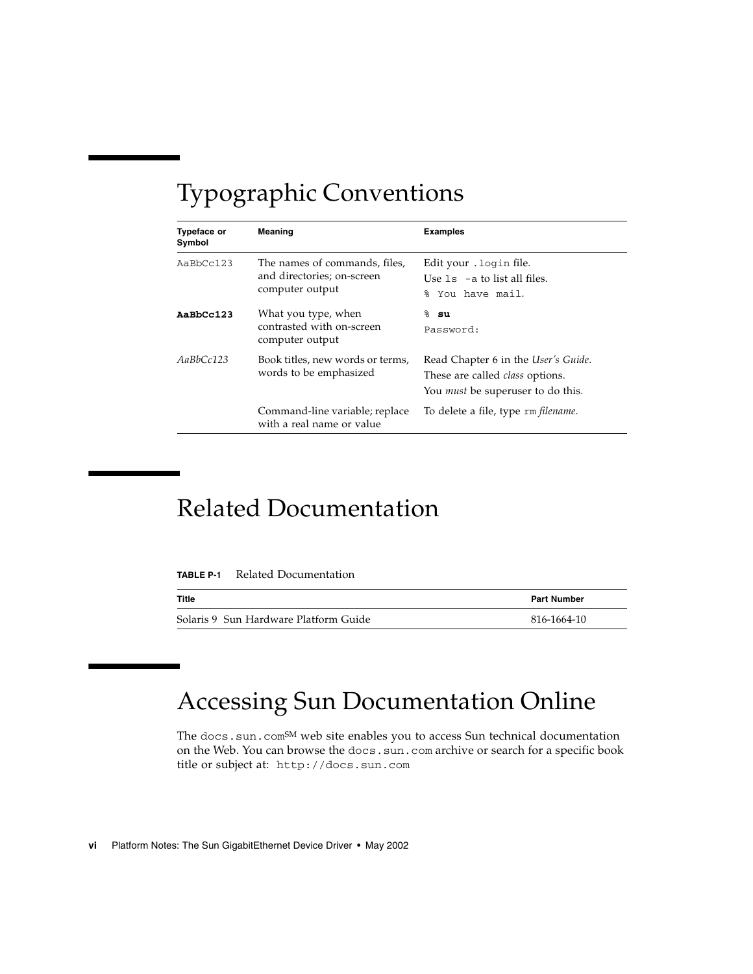# Typographic Conventions

| Typeface or<br>Symbol | Meaning                                                                        | <b>Examples</b>                                                                                                           |
|-----------------------|--------------------------------------------------------------------------------|---------------------------------------------------------------------------------------------------------------------------|
| AaBbCc123             | The names of commands, files,<br>and directories; on-screen<br>computer output | Edit your . login file.<br>Use $1s$ $-$ a to list all files.<br>You have mail.<br>ዱ                                       |
| AaBbCc123             | What you type, when<br>contrasted with on-screen<br>computer output            | $8$ su<br>Password:                                                                                                       |
| AaBbCc123             | Book titles, new words or terms,<br>words to be emphasized                     | Read Chapter 6 in the User's Guide.<br>These are called <i>class</i> options.<br>You <i>must</i> be superuser to do this. |
|                       | Command-line variable; replace<br>with a real name or value                    | To delete a file, type rm filename.                                                                                       |

## Related Documentation

| <b>TABLE P-1</b> | Related Documentation |
|------------------|-----------------------|
|                  |                       |

| Title                                 | <b>Part Number</b> |
|---------------------------------------|--------------------|
| Solaris 9 Sun Hardware Platform Guide | 816-1664-10        |

# Accessing Sun Documentation Online

The docs.sun.com<sup>SM</sup> web site enables you to access Sun technical documentation on the Web. You can browse the docs.sun.com archive or search for a specific book title or subject at: http://docs.sun.com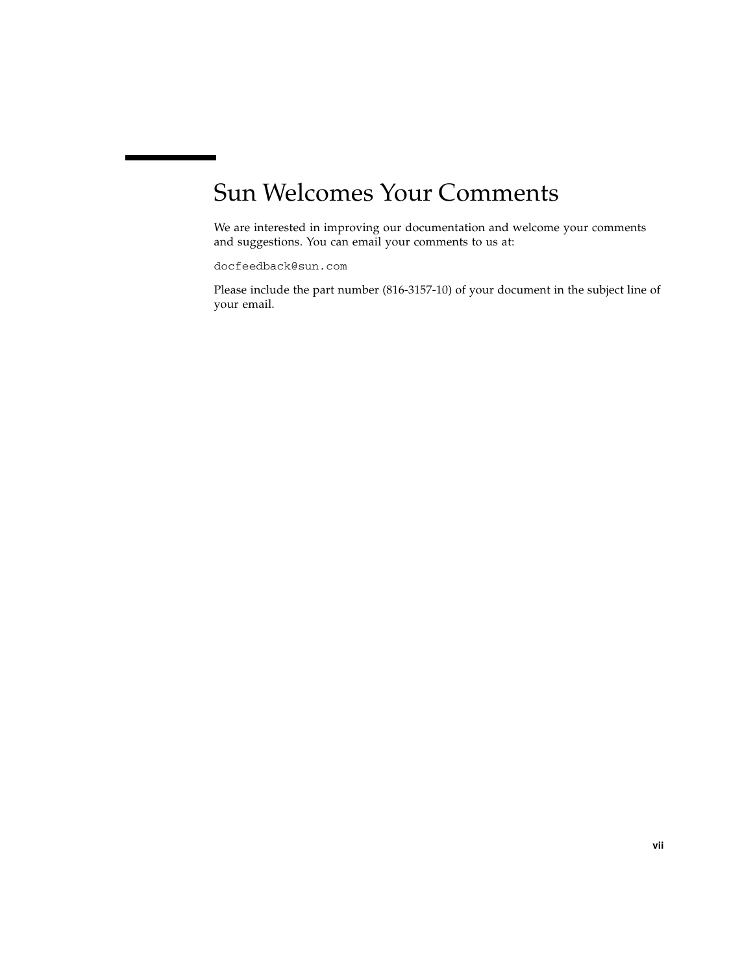# Sun Welcomes Your Comments

We are interested in improving our documentation and welcome your comments and suggestions. You can email your comments to us at:

docfeedback@sun.com

Please include the part number (816-3157-10) of your document in the subject line of your email.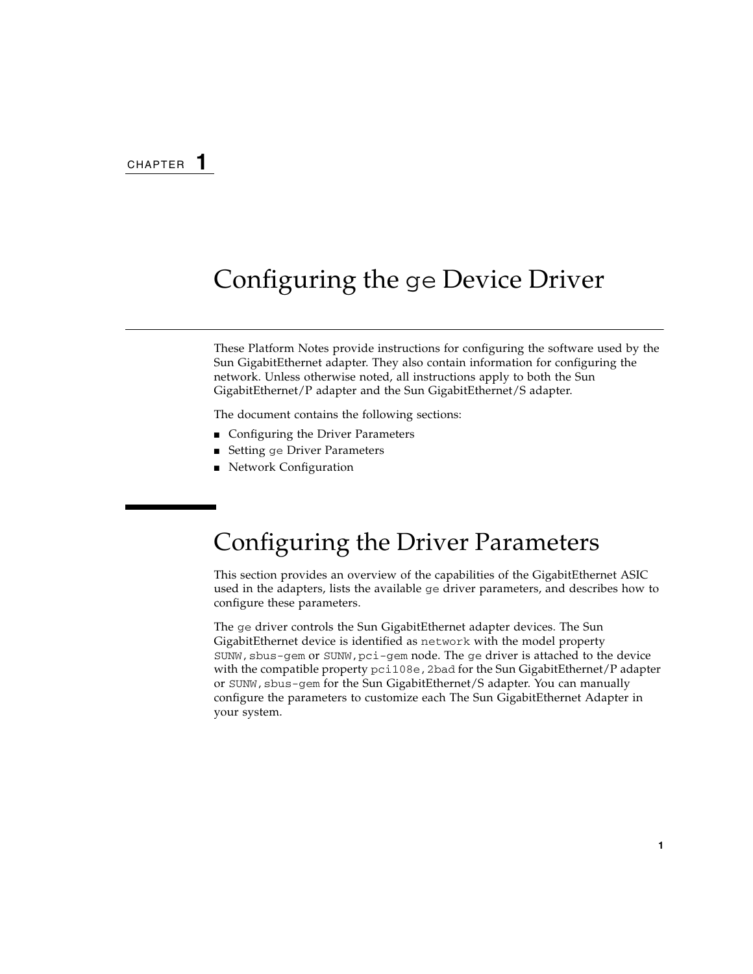# <span id="page-8-0"></span>Configuring the ge Device Driver

These Platform Notes provide instructions for configuring the software used by the Sun GigabitEthernet adapter. They also contain information for configuring the network. Unless otherwise noted, all instructions apply to both the Sun GigabitEthernet/P adapter and the Sun GigabitEthernet/S adapter.

The document contains the following sections:

- [Configuring the Driver Parameters](#page-8-1)
- Setting ge [Driver Parameters](#page-15-0)
- [Network Configuration](#page-21-1)

## <span id="page-8-1"></span>Configuring the Driver Parameters

This section provides an overview of the capabilities of the GigabitEthernet ASIC used in the adapters, lists the available ge driver parameters, and describes how to configure these parameters.

The ge driver controls the Sun GigabitEthernet adapter devices. The Sun GigabitEthernet device is identified as network with the model property SUNW, sbus-gem or SUNW, pci-gem node. The ge driver is attached to the device with the compatible property  $pci108e$ , 2bad for the Sun GigabitEthernet/P adapter or  $SUMW$ , sbus-gem for the Sun GigabitEthernet/S adapter. You can manually configure the parameters to customize each The Sun GigabitEthernet Adapter in your system.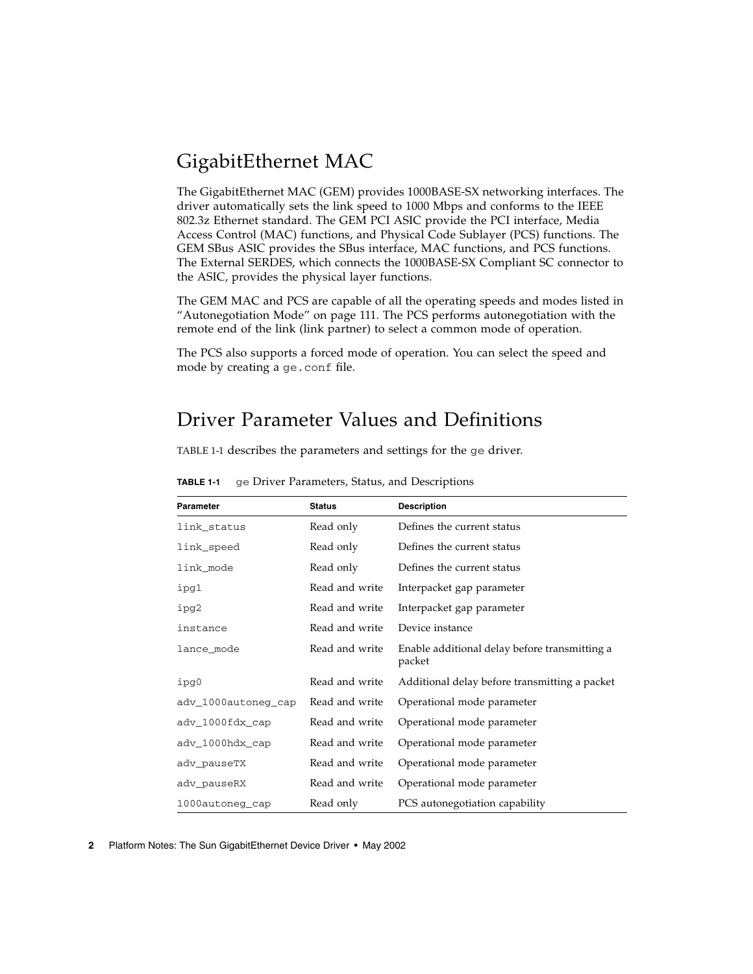## <span id="page-9-0"></span>GigabitEthernet MAC

The GigabitEthernet MAC (GEM) provides 1000BASE-SX networking interfaces. The driver automatically sets the link speed to 1000 Mbps and conforms to the IEEE 802.3z Ethernet standard. The GEM PCI ASIC provide the PCI interface, Media Access Control (MAC) functions, and Physical Code Sublayer (PCS) functions. The GEM SBus ASIC provides the SBus interface, MAC functions, and PCS functions. The External SERDES, which connects the 1000BASE-SX Compliant SC connector to the ASIC, provides the physical layer functions.

The GEM MAC and PCS are capable of all the operating speeds and modes listed in ["Autonegotiation Mode" on page 111](#page-18-0). The PCS performs autonegotiation with the remote end of the link (link partner) to select a common mode of operation.

The PCS also supports a forced mode of operation. You can select the speed and mode by creating a ge.conf file.

## <span id="page-9-1"></span>Driver Parameter Values and Definitions

<span id="page-9-2"></span>[TABLE 1-1](#page-9-2) describes the parameters and settings for the ge driver.

| <b>Parameter</b>    | <b>Status</b>  | <b>Description</b>                                      |
|---------------------|----------------|---------------------------------------------------------|
| link_status         | Read only      | Defines the current status                              |
| link_speed          | Read only      | Defines the current status                              |
| link_mode           | Read only      | Defines the current status                              |
| ipg1                | Read and write | Interpacket gap parameter                               |
| ipg2                | Read and write | Interpacket gap parameter                               |
| instance            | Read and write | Device instance                                         |
| lance_mode          | Read and write | Enable additional delay before transmitting a<br>packet |
| ipg0                | Read and write | Additional delay before transmitting a packet           |
| adv_1000autoneg_cap | Read and write | Operational mode parameter                              |
| adv_1000fdx_cap     | Read and write | Operational mode parameter                              |
| adv_1000hdx_cap     | Read and write | Operational mode parameter                              |
| adv_pauseTX         | Read and write | Operational mode parameter                              |
| adv_pauseRX         | Read and write | Operational mode parameter                              |
| 1000autoneg_cap     | Read only      | PCS autonegotiation capability                          |

**TABLE 1-1** ge Driver Parameters, Status, and Descriptions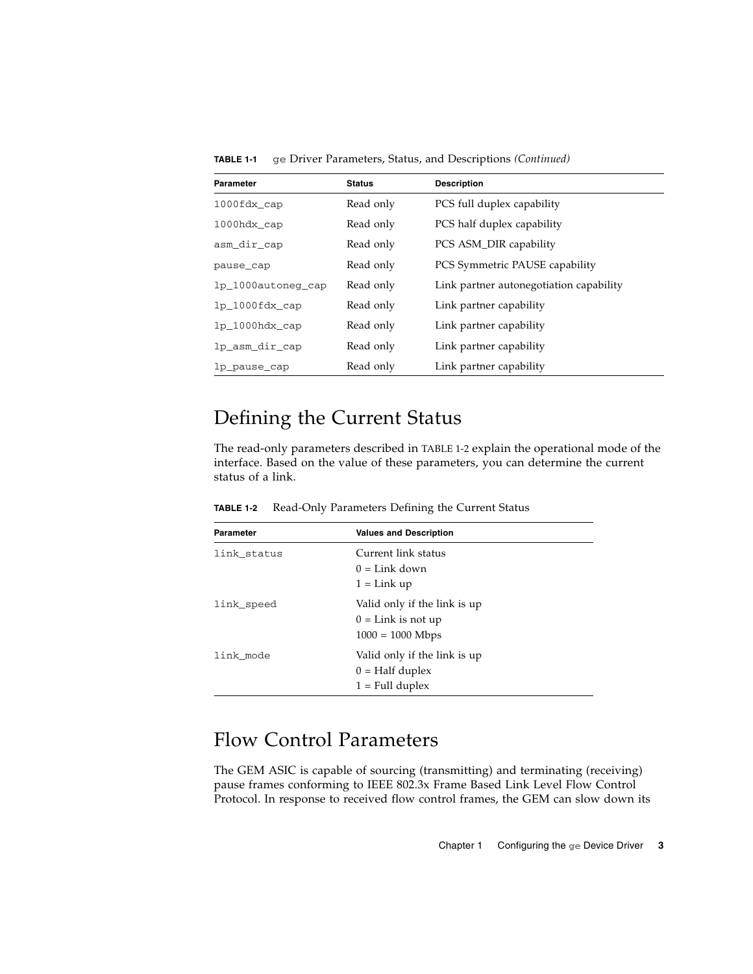| Parameter          | <b>Status</b> | <b>Description</b>                      |
|--------------------|---------------|-----------------------------------------|
| 1000fdx cap        | Read only     | PCS full duplex capability              |
| $1000$ hdx_cap     | Read only     | PCS half duplex capability              |
| asm_dir_cap        | Read only     | PCS ASM_DIR capability                  |
| pause_cap          | Read only     | PCS Symmetric PAUSE capability          |
| lp_1000autoneg_cap | Read only     | Link partner autonegotiation capability |
| $lp_1000fdx_cap$   | Read only     | Link partner capability                 |
| $lp_1000hdx_cap$   | Read only     | Link partner capability                 |
| lp_asm_dir_cap     | Read only     | Link partner capability                 |
| lp_pause_cap       | Read only     | Link partner capability                 |

**TABLE 1-1** ge Driver Parameters, Status, and Descriptions *(Continued)*

## <span id="page-10-0"></span>Defining the Current Status

<span id="page-10-2"></span>The read-only parameters described in [TABLE 1-2](#page-10-2) explain the operational mode of the interface. Based on the value of these parameters, you can determine the current status of a link.

**TABLE 1-2** Read-Only Parameters Defining the Current Status

| Parameter<br><b>Values and Description</b> |                                                                               |  |
|--------------------------------------------|-------------------------------------------------------------------------------|--|
| link status                                | Current link status<br>$0 =$ Link down<br>$1 =$ Link up                       |  |
| link_speed                                 | Valid only if the link is up<br>$0 =$ Link is not up<br>$1000 = 1000$ Mbps    |  |
| link mode                                  | Valid only if the link is up<br>$0 = \text{Half duplex}$<br>$1 =$ Full duplex |  |

### <span id="page-10-1"></span>Flow Control Parameters

The GEM ASIC is capable of sourcing (transmitting) and terminating (receiving) pause frames conforming to IEEE 802.3x Frame Based Link Level Flow Control Protocol. In response to received flow control frames, the GEM can slow down its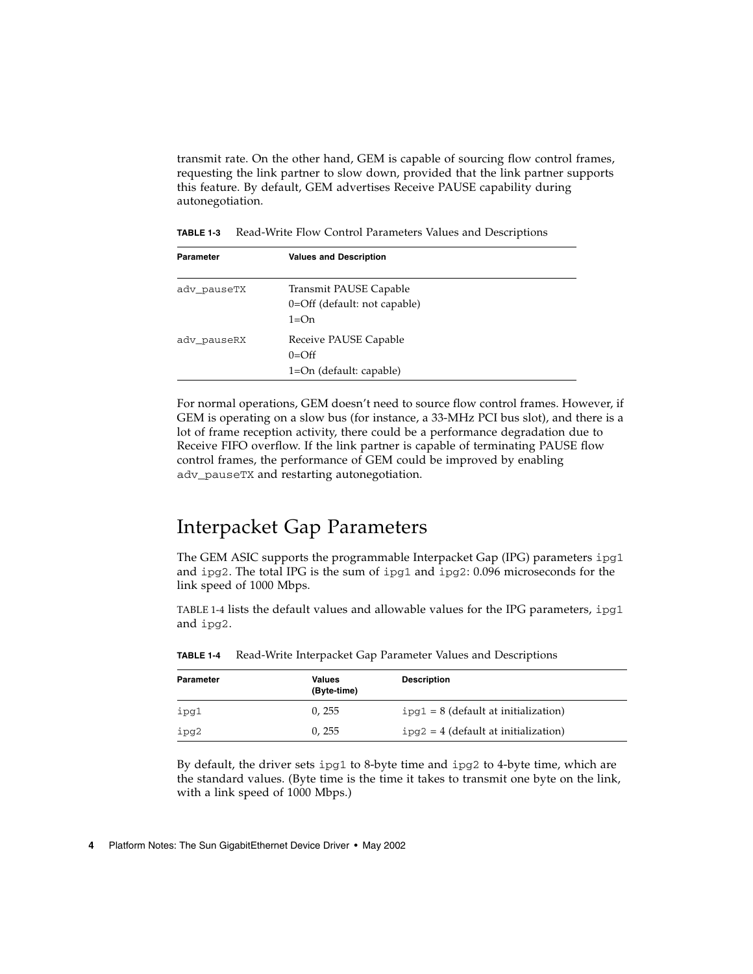transmit rate. On the other hand, GEM is capable of sourcing flow control frames, requesting the link partner to slow down, provided that the link partner supports this feature. By default, GEM advertises Receive PAUSE capability during autonegotiation.

| <b>Parameter</b> | <b>Values and Description</b>                                    |  |
|------------------|------------------------------------------------------------------|--|
| adv pauseTX      | Transmit PAUSE Capable<br>0=Off (default: not capable)<br>$1=On$ |  |
| adv pauseRX      | Receive PAUSE Capable<br>$0=Off$<br>1=On (default: capable)      |  |

For normal operations, GEM doesn't need to source flow control frames. However, if GEM is operating on a slow bus (for instance, a 33-MHz PCI bus slot), and there is a lot of frame reception activity, there could be a performance degradation due to Receive FIFO overflow. If the link partner is capable of terminating PAUSE flow control frames, the performance of GEM could be improved by enabling adv\_pauseTX and restarting autonegotiation.

## <span id="page-11-0"></span>Interpacket Gap Parameters

The GEM ASIC supports the programmable Interpacket Gap (IPG) parameters ipg1 and ipg2. The total IPG is the sum of ipg1 and ipg2: 0.096 microseconds for the link speed of 1000 Mbps.

<span id="page-11-1"></span>[TABLE 1-4](#page-11-1) lists the default values and allowable values for the IPG parameters,  $i$ pg1 and ipg2.

| Parameter | Values<br>(Byte-time) | <b>Description</b>                     |
|-----------|-----------------------|----------------------------------------|
| ipg1      | 0.255                 | $ipg1 = 8$ (default at initialization) |
| ipg2      | 0.255                 | $ipq2 = 4$ (default at initialization) |

**TABLE 1-4** Read-Write Interpacket Gap Parameter Values and Descriptions

By default, the driver sets ipg1 to 8-byte time and ipg2 to 4-byte time, which are the standard values. (Byte time is the time it takes to transmit one byte on the link, with a link speed of 1000 Mbps.)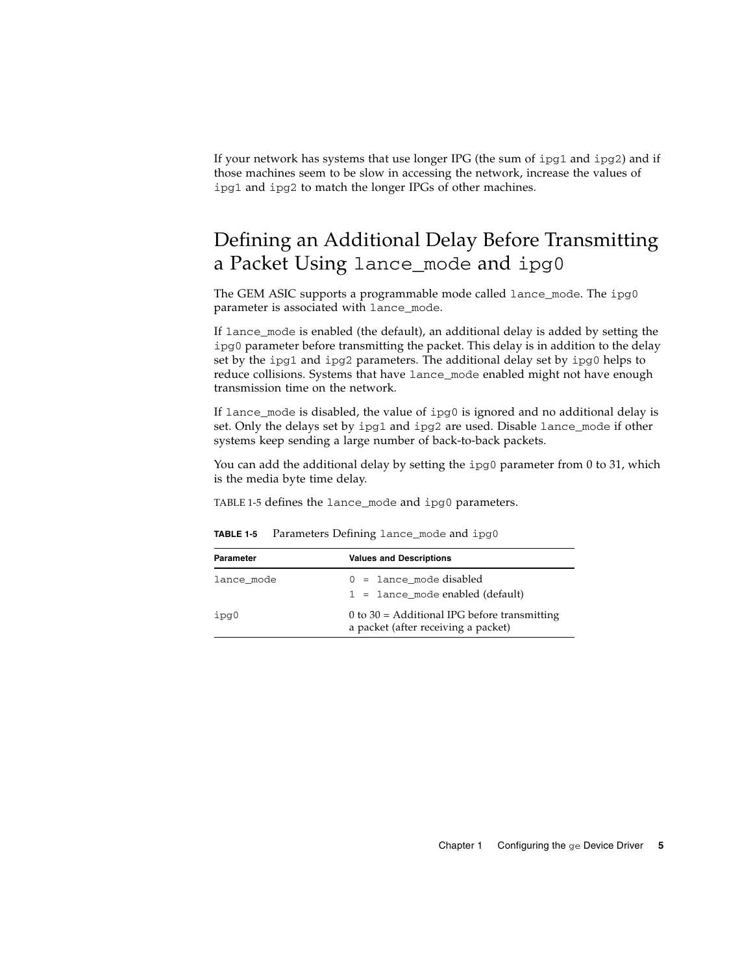If your network has systems that use longer IPG (the sum of  $ipg1$  and  $ipg2$ ) and if those machines seem to be slow in accessing the network, increase the values of ipg1 and ipg2 to match the longer IPGs of other machines.

## <span id="page-12-0"></span>Defining an Additional Delay Before Transmitting a Packet Using lance\_mode and ipg0

The GEM ASIC supports a programmable mode called lance\_mode. The ipg0 parameter is associated with lance\_mode.

If lance\_mode is enabled (the default), an additional delay is added by setting the ipg0 parameter before transmitting the packet. This delay is in addition to the delay set by the ipg1 and ipg2 parameters. The additional delay set by ipg0 helps to reduce collisions. Systems that have lance\_mode enabled might not have enough transmission time on the network.

If lance\_mode is disabled, the value of ipg0 is ignored and no additional delay is set. Only the delays set by ipg1 and ipg2 are used. Disable lance\_mode if other systems keep sending a large number of back-to-back packets.

You can add the additional delay by setting the ipg0 parameter from 0 to 31, which is the media byte time delay.

<span id="page-12-1"></span>[TABLE 1-5](#page-12-1) defines the lance\_mode and ipg0 parameters.

| <b>Parameter</b> | <b>Values and Descriptions</b>                                                          |  |  |
|------------------|-----------------------------------------------------------------------------------------|--|--|
| lance mode       | $0 = 1$ ance mode disabled<br>$1 =$ lance mode enabled (default)                        |  |  |
| ipg0             | $0$ to $30$ = Additional IPG before transmitting<br>a packet (after receiving a packet) |  |  |

**TABLE 1-5** Parameters Defining lance\_mode and ipg0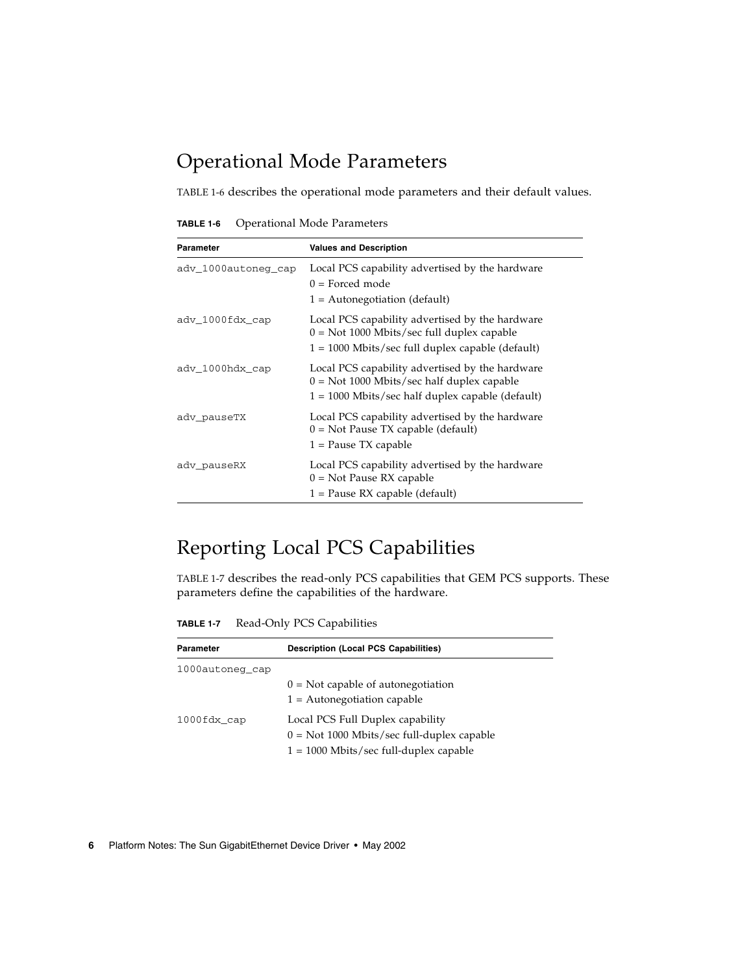## <span id="page-13-0"></span>Operational Mode Parameters

<span id="page-13-2"></span>[TABLE 1-6](#page-13-2) describes the operational mode parameters and their default values.

**TABLE 1-6** Operational Mode Parameters

| Parameter           | <b>Values and Description</b>                                                                                                                         |
|---------------------|-------------------------------------------------------------------------------------------------------------------------------------------------------|
| adv_1000autoneg_cap | Local PCS capability advertised by the hardware<br>$0 =$ Forced mode<br>$1 =$ Autonegotiation (default)                                               |
| adv_1000fdx_cap     | Local PCS capability advertised by the hardware<br>$0 = Not 1000$ Mbits/sec full duplex capable<br>1 = 1000 Mbits/sec full duplex capable (default)   |
| adv_1000hdx_cap     | Local PCS capability advertised by the hardware<br>$0 = Not 1000$ Mbits/sec half duplex capable<br>$1 = 1000$ Mbits/sec half duplex capable (default) |
| adv_pauseTX         | Local PCS capability advertised by the hardware<br>$0 = Not$ Pause TX capable (default)<br>1 = Pause TX capable                                       |
| adv_pauseRX         | Local PCS capability advertised by the hardware<br>$0 = Not$ Pause RX capable<br>$1 =$ Pause RX capable (default)                                     |

## <span id="page-13-1"></span>Reporting Local PCS Capabilities

<span id="page-13-3"></span>[TABLE 1-7](#page-13-3) describes the read-only PCS capabilities that GEM PCS supports. These parameters define the capabilities of the hardware.

**TABLE 1-7** Read-Only PCS Capabilities

| Parameter       | <b>Description (Local PCS Capabilities)</b>                                                                                  |  |
|-----------------|------------------------------------------------------------------------------------------------------------------------------|--|
| 1000autoneg cap |                                                                                                                              |  |
|                 | $0 =$ Not capable of autonegotiation<br>$1 =$ Autonegotiation capable                                                        |  |
| 1000fdx cap     | Local PCS Full Duplex capability<br>$0 = Not 1000$ Mbits/sec full-duplex capable<br>$1 = 1000$ Mbits/sec full-duplex capable |  |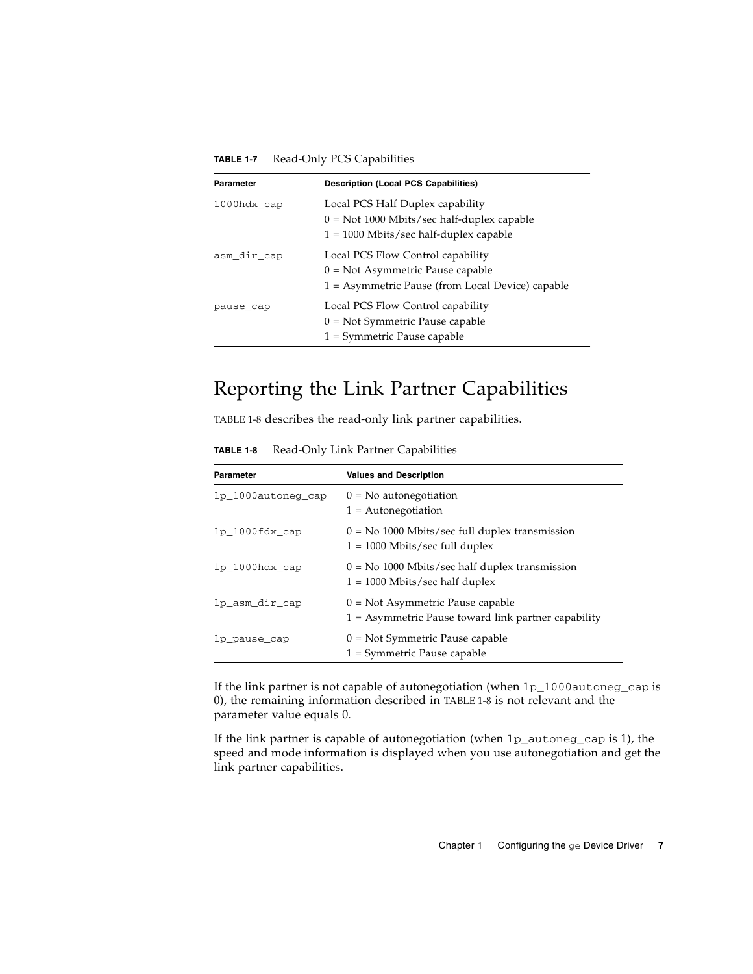| Parameter   | <b>Description (Local PCS Capabilities)</b>                                                                                   |  |
|-------------|-------------------------------------------------------------------------------------------------------------------------------|--|
| 1000hdx cap | Local PCS Half Duplex capability<br>$0 = Not 1000$ Mbits/sec half-duplex capable<br>$1 = 1000$ Mbits/sec half-duplex capable  |  |
| asm_dir_cap | Local PCS Flow Control capability<br>$0 = Not$ Asymmetric Pause capable<br>$1 =$ Asymmetric Pause (from Local Device) capable |  |
| pause cap   | Local PCS Flow Control capability<br>$0 = Not Symmetric$ Pause capable<br>$1 = Symmetric$ Pause capable                       |  |

**TABLE 1-7** Read-Only PCS Capabilities

### <span id="page-14-0"></span>Reporting the Link Partner Capabilities

<span id="page-14-1"></span>[TABLE 1-8](#page-14-1) describes the read-only link partner capabilities.

**TABLE 1-8** Read-Only Link Partner Capabilities

| Parameter          | <b>Values and Description</b>                                                               |
|--------------------|---------------------------------------------------------------------------------------------|
| lp 1000autoneg cap | $0 = No$ autonegotiation<br>$1 =$ Autonegotiation                                           |
| lp 1000fdx cap     | $0 = No$ 1000 Mbits/sec full duplex transmission<br>$1 = 1000$ Mbits/sec full duplex        |
| lp 1000hdx cap     | $0 = No$ 1000 Mbits/sec half duplex transmission<br>$1 = 1000$ Mbits/sec half duplex        |
| lp_asm_dir_cap     | $0 = Not$ Asymmetric Pause capable<br>$1 =$ Asymmetric Pause toward link partner capability |
| lp_pause_cap       | $0 = Not Symmetric$ Pause capable<br>$1 = Symmetric$ Pause capable                          |

If the link partner is not capable of autonegotiation (when lp\_1000autoneg\_cap is 0), the remaining information described in [TABLE 1-8](#page-14-1) is not relevant and the parameter value equals 0.

If the link partner is capable of autonegotiation (when lp\_autoneg\_cap is 1), the speed and mode information is displayed when you use autonegotiation and get the link partner capabilities.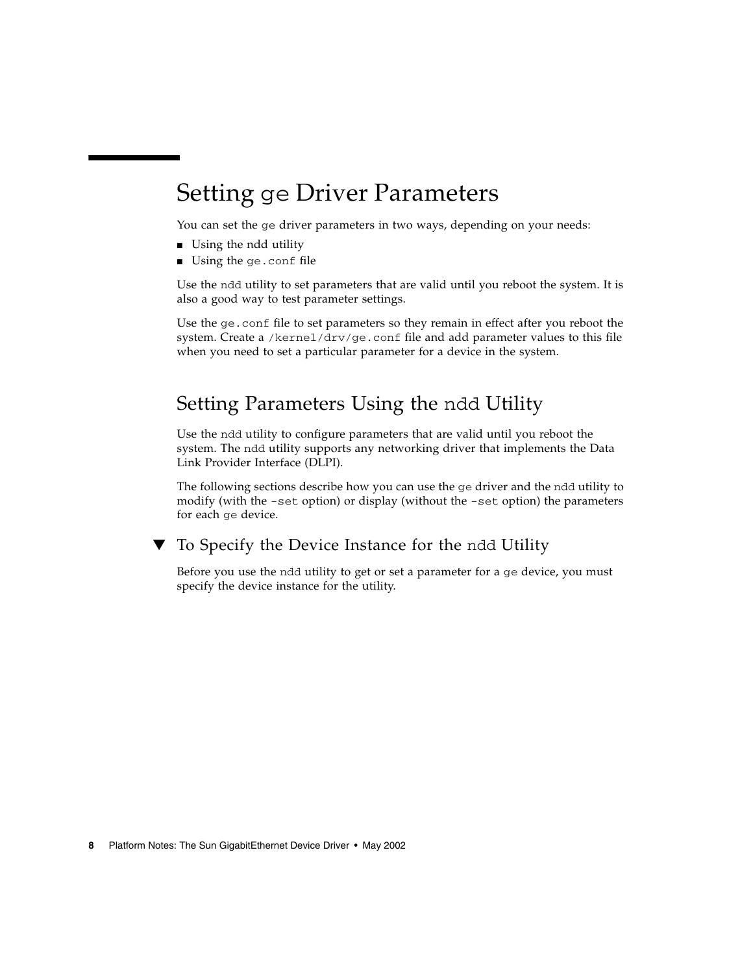# <span id="page-15-0"></span>Setting ge Driver Parameters

You can set the ge driver parameters in two ways, depending on your needs:

- Using the ndd utility
- Using the ge.conf file

Use the ndd utility to set parameters that are valid until you reboot the system. It is also a good way to test parameter settings.

Use the ge.conf file to set parameters so they remain in effect after you reboot the system. Create a /kernel/drv/ge.conf file and add parameter values to this file when you need to set a particular parameter for a device in the system.

## <span id="page-15-1"></span>Setting Parameters Using the ndd Utility

Use the ndd utility to configure parameters that are valid until you reboot the system. The ndd utility supports any networking driver that implements the Data Link Provider Interface (DLPI).

The following sections describe how you can use the ge driver and the ndd utility to modify (with the -set option) or display (without the -set option) the parameters for each ge device.

<span id="page-15-2"></span>

### ▼ To Specify the Device Instance for the ndd Utility

Before you use the ndd utility to get or set a parameter for a ge device, you must specify the device instance for the utility.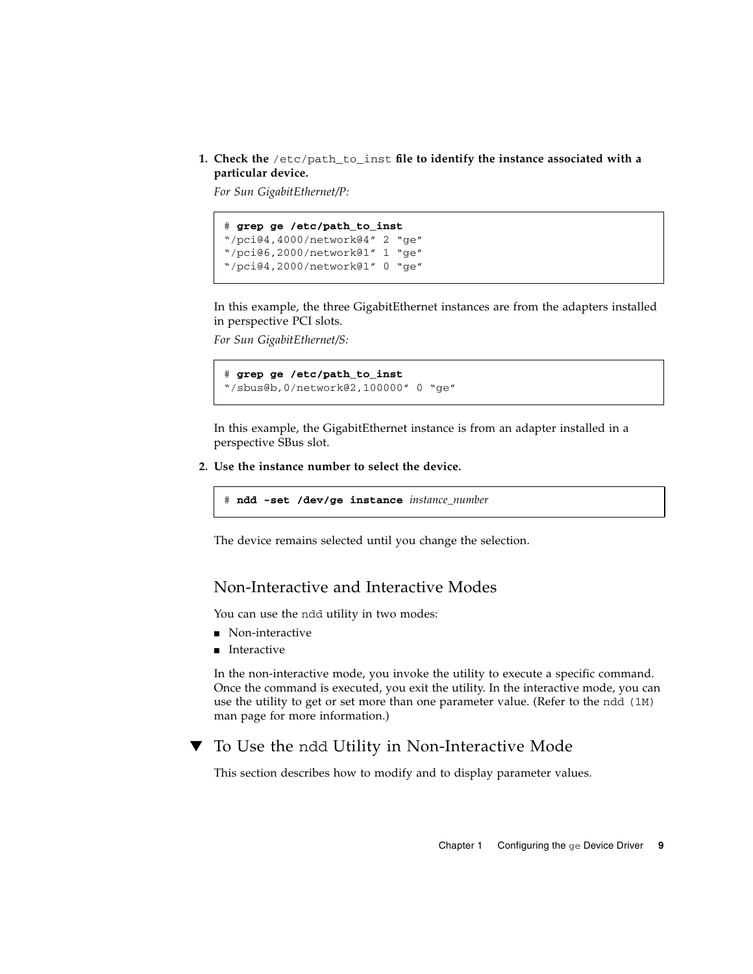**1. Check the** /etc/path\_to\_inst **file to identify the instance associated with a particular device.**

*For Sun GigabitEthernet/P:*

```
# grep ge /etc/path_to_inst
"/pci@4,4000/network@4" 2 "ge"
"/pci@6,2000/network@1" 1 "ge"
"/pci@4,2000/network@1" 0 "ge"
```
In this example, the three GigabitEthernet instances are from the adapters installed in perspective PCI slots.

*For Sun GigabitEthernet/S:*

```
# grep ge /etc/path_to_inst
"/sbus@b,0/network@2,100000" 0 "ge"
```
In this example, the GigabitEthernet instance is from an adapter installed in a perspective SBus slot.

**2. Use the instance number to select the device.**

```
# ndd -set /dev/ge instance instance_number
```
The device remains selected until you change the selection.

#### <span id="page-16-0"></span>Non-Interactive and Interactive Modes

You can use the ndd utility in two modes:

- Non-interactive
- Interactive

In the non-interactive mode, you invoke the utility to execute a specific command. Once the command is executed, you exit the utility. In the interactive mode, you can use the utility to get or set more than one parameter value. (Refer to the ndd (1M) man page for more information.)

### <span id="page-16-1"></span>▼ To Use the ndd Utility in Non-Interactive Mode

This section describes how to modify and to display parameter values.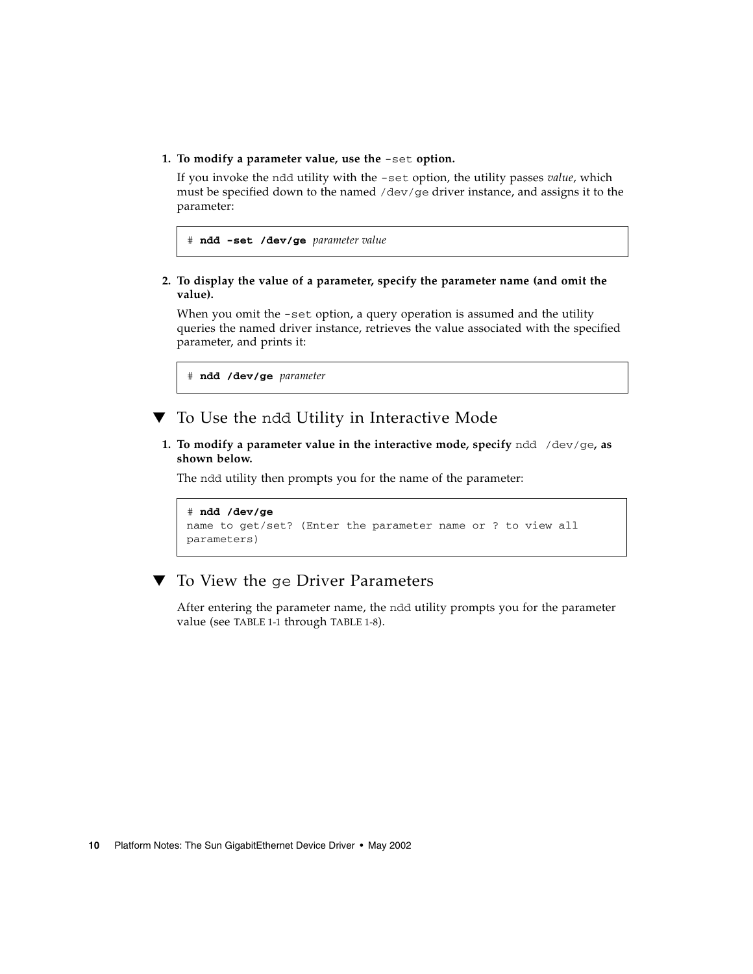**1. To modify a parameter value, use the** -set **option.**

If you invoke the ndd utility with the -set option, the utility passes *value*, which must be specified down to the named /dev/ge driver instance, and assigns it to the parameter:

```
# ndd -set /dev/ge parameter value
```
**2. To display the value of a parameter, specify the parameter name (and omit the value).**

When you omit the -set option, a query operation is assumed and the utility queries the named driver instance, retrieves the value associated with the specified parameter, and prints it:

# **ndd /dev/ge** *parameter*

- <span id="page-17-0"></span>▼ To Use the ndd Utility in Interactive Mode
	- **1. To modify a parameter value in the interactive mode, specify** ndd /dev/ge**, as shown below.**

The ndd utility then prompts you for the name of the parameter:

```
# ndd /dev/ge
name to get/set? (Enter the parameter name or ? to view all
parameters)
```
### <span id="page-17-1"></span>▼ To View the ge Driver Parameters

After entering the parameter name, the ndd utility prompts you for the parameter value (see [TABLE 1-1](#page-9-2) through [TABLE 1-8](#page-14-1)).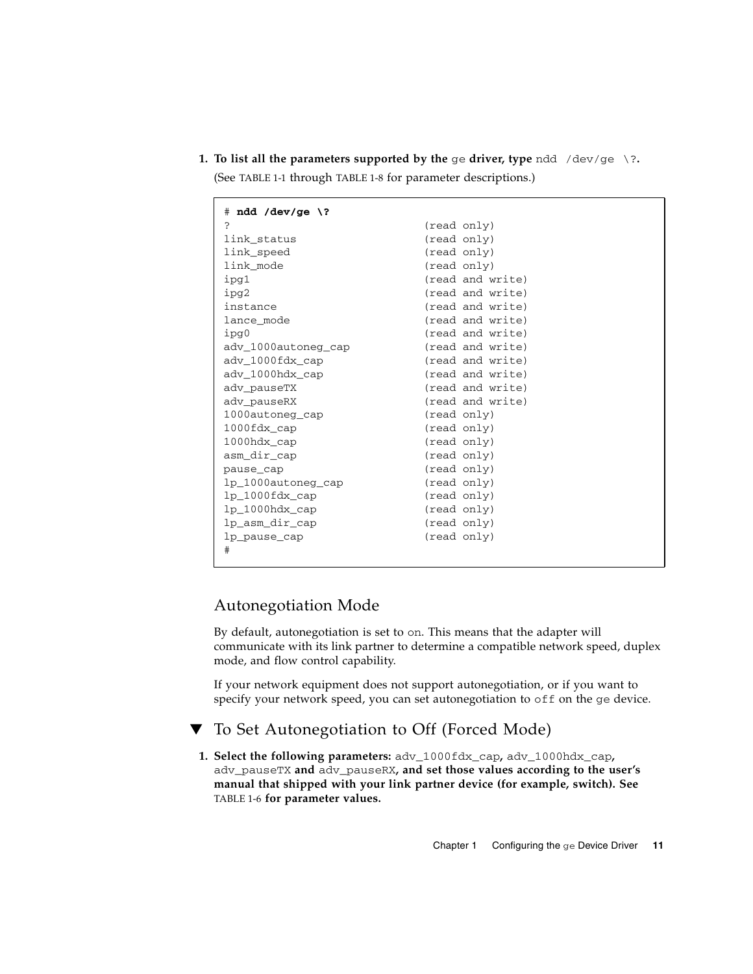**1. To list all the parameters supported by the ge driver, type**  $\text{ndd } / \text{dev}/\text{ge } \$ **?.** 

(See [TABLE 1-1](#page-9-2) through [TABLE 1-8](#page-14-1) for parameter descriptions.)

| $#$ ndd /dev/ge \?  |                  |
|---------------------|------------------|
| S.                  | (read only)      |
| link_status         | (read only)      |
| link_speed          | (read only)      |
| link mode           | (read only)      |
| ipg1                | (read and write) |
| ipq2                | (read and write) |
| instance            | (read and write) |
| lance mode          | (read and write) |
| ipg0                | (read and write) |
| ady 1000autoneg cap | (read and write) |
| adv_1000fdx_cap     | (read and write) |
| ady 1000hdx cap     | (read and write) |
| adv pauseTX         | (read and write) |
| adv_pauseRX         | (read and write) |
| 1000autoneg cap     | (read only)      |
| $1000$ fdx cap      | (read only)      |
| 1000hdx cap         | (read only)      |
| asm dir cap         | (read only)      |
| pause_cap           | (read only)      |
| lp_1000autoneg_cap  | (read only)      |
| $lp_1000fdx_cap$    | (read only)      |
| $lp_1000hdx$ cap    | (read only)      |
| lp_asm_dir_cap      | (read only)      |
| lp_pause_cap        | (read only)      |
| #                   |                  |
|                     |                  |

### <span id="page-18-0"></span>Autonegotiation Mode

By default, autonegotiation is set to on. This means that the adapter will communicate with its link partner to determine a compatible network speed, duplex mode, and flow control capability.

If your network equipment does not support autonegotiation, or if you want to specify your network speed, you can set autonegotiation to off on the ge device.

### <span id="page-18-1"></span>To Set Autonegotiation to Off (Forced Mode)

**1. Select the following parameters:** adv\_1000fdx\_cap**,** adv\_1000hdx\_cap**,** adv\_pauseTX **and** adv\_pauseRX**, and set those values according to the user's manual that shipped with your link partner device (for example, switch). See** [TABLE 1-6](#page-13-2) **for parameter values.**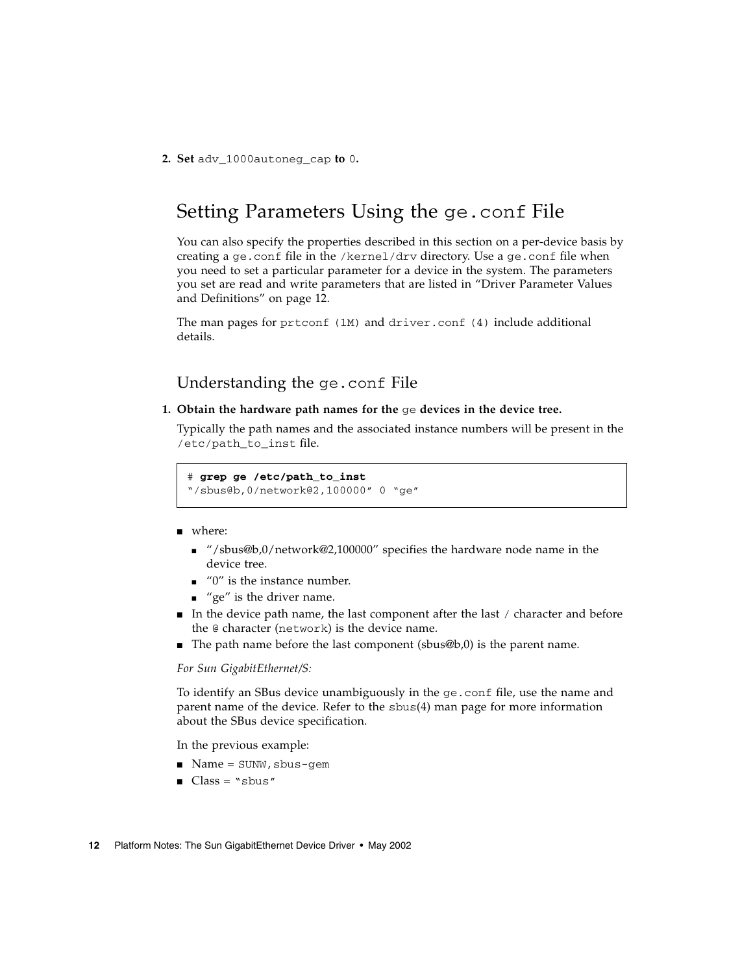<span id="page-19-0"></span>**2. Set** adv\_1000autoneg\_cap **to** 0**.**

## Setting Parameters Using the ge.conf File

You can also specify the properties described in this section on a per-device basis by creating a ge.conf file in the /kernel/drv directory. Use a ge.conf file when you need to set a particular parameter for a device in the system. The parameters you set are read and write parameters that are listed in ["Driver Parameter Values](#page-9-1) [and Definitions" on page 12.](#page-9-1)

The man pages for prtconf (1M) and driver.conf (4) include additional details.

#### Understanding the ge.conf File

<span id="page-19-1"></span>**1. Obtain the hardware path names for the** ge **devices in the device tree.**

Typically the path names and the associated instance numbers will be present in the /etc/path\_to\_inst\_file.

# **grep ge /etc/path\_to\_inst**

"/sbus@b,0/network@2,100000" 0 "ge"

- where:
	- "/sbus@b,0/network@2,100000" specifies the hardware node name in the device tree.
	- "0" is the instance number.
	- $\blacksquare$  "ge" is the driver name.
- In the device path name, the last component after the last / character and before the @ character (network) is the device name.
- The path name before the last component (sbus@b,0) is the parent name.

#### *For Sun GigabitEthernet/S:*

To identify an SBus device unambiguously in the ge.conf file, use the name and parent name of the device. Refer to the sbus(4) man page for more information about the SBus device specification.

In the previous example:

- Name = SUNW, sbus-gem
- $\blacksquare$  Class = "sbus"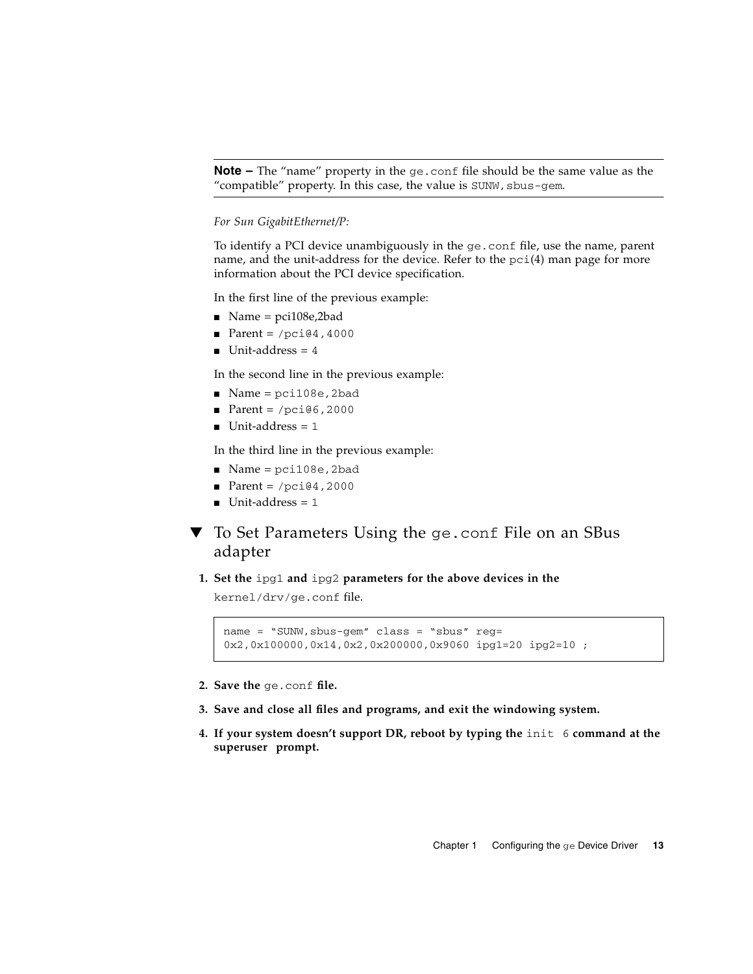**Note –** The "name" property in the ge.conf file should be the same value as the "compatible" property. In this case, the value is  $SUMW$ ,  $sburg-qem$ .

#### *For Sun GigabitEthernet/P:*

To identify a PCI device unambiguously in the ge.conf file, use the name, parent name, and the unit-address for the device. Refer to the pci(4) man page for more information about the PCI device specification.

In the first line of the previous example:

- $\blacksquare$  Name = pci108e,2bad
- Parent =  $/pci@4,4000$
- $\blacksquare$  Unit-address = 4

In the second line in the previous example:

- $\blacksquare$  Name = pci108e, 2bad
- Parent =  $/pci@6,2000$
- $\blacksquare$  Unit-address = 1

In the third line in the previous example:

- Name = pci108e, 2bad
- Parent =  $/pci@4,2000$
- $\blacksquare$  Unit-address = 1
- <span id="page-20-0"></span>▼ To Set Parameters Using the ge.conf File on an SBus adapter
	- **1. Set the** ipg1 **and** ipg2 **parameters for the above devices in the**

kernel/drv/ge.conf file.

```
name = "SUNW,sbus-gem" class = "sbus" reg=
0x2,0x100000,0x14,0x2,0x200000,0x9060 ipg1=20 ipg2=10 ;
```
- **2. Save the** ge.conf **file.**
- **3. Save and close all files and programs, and exit the windowing system.**
- **4. If your system doesn't support DR, reboot by typing the** init 6 **command at the superuser prompt.**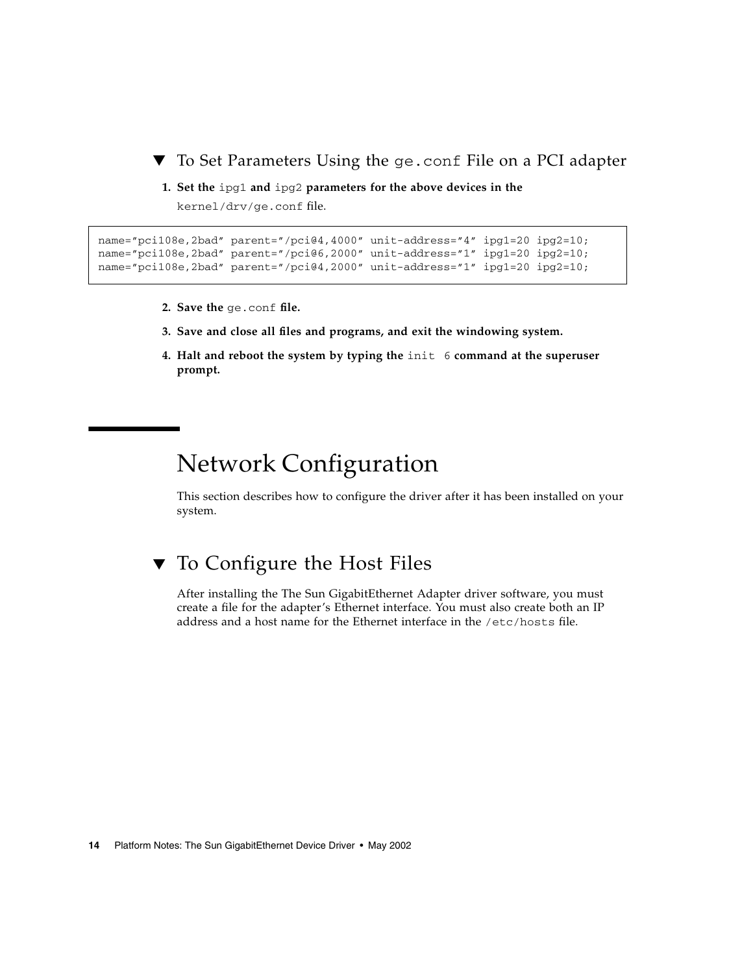<span id="page-21-0"></span>▼ To Set Parameters Using the ge.conf File on a PCI adapter

**1. Set the** ipg1 **and** ipg2 **parameters for the above devices in the**

kernel/drv/ge.conf file.

```
name="pci108e,2bad" parent="/pci@4,4000" unit-address="4" ipq1=20 ipq2=10;
name="pci108e,2bad" parent="/pci@6,2000" unit-address="1" ipg1=20 ipg2=10;
name="pci108e,2bad" parent="/pci@4,2000" unit-address="1" ipg1=20 ipg2=10;
```
- **2. Save the** ge.conf **file.**
- **3. Save and close all files and programs, and exit the windowing system.**
- **4. Halt and reboot the system by typing the** init 6 **command at the superuser prompt.**

# <span id="page-21-1"></span>Network Configuration

This section describes how to configure the driver after it has been installed on your system.

## <span id="page-21-2"></span>▼ To Configure the Host Files

After installing the The Sun GigabitEthernet Adapter driver software, you must create a file for the adapter's Ethernet interface. You must also create both an IP address and a host name for the Ethernet interface in the /etc/hosts file.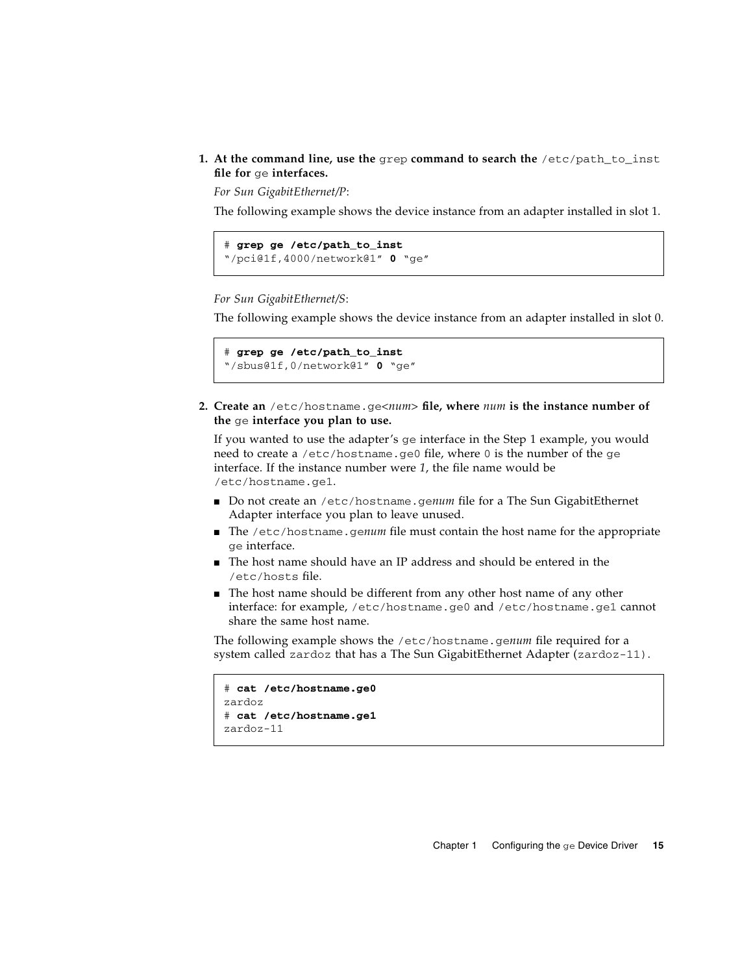#### **1. At the command line, use the** grep **command to search the** /etc/path\_to\_inst **file for** ge **interfaces.**

*For Sun GigabitEthernet/P*:

The following example shows the device instance from an adapter installed in slot 1.

```
# grep ge /etc/path_to_inst
"/pci@1f,4000/network@1" 0 "ge"
```
#### *For Sun GigabitEthernet/S*:

The following example shows the device instance from an adapter installed in slot 0.

```
# grep ge /etc/path_to_inst
"/sbus@1f,0/network@1" 0 "ge"
```
**2. Create an** /etc/hostname.ge*<num>* **file, where** *num* **is the instance number of the** ge **interface you plan to use.**

If you wanted to use the adapter's ge interface in the Step 1 example, you would need to create a /etc/hostname.ge0 file, where 0 is the number of the ge interface. If the instance number were *1*, the file name would be /etc/hostname.ge1.

- Do not create an /etc/hostname.genum file for a The Sun GigabitEthernet Adapter interface you plan to leave unused.
- The /etc/hostname.genum file must contain the host name for the appropriate ge interface.
- The host name should have an IP address and should be entered in the /etc/hosts file.
- The host name should be different from any other host name of any other interface: for example, /etc/hostname.ge0 and /etc/hostname.ge1 cannot share the same host name.

The following example shows the /etc/hostname.ge*num* file required for a system called zardoz that has a The Sun GigabitEthernet Adapter (zardoz-11).

```
# cat /etc/hostname.ge0
zardoz
# cat /etc/hostname.ge1
zardoz-11
```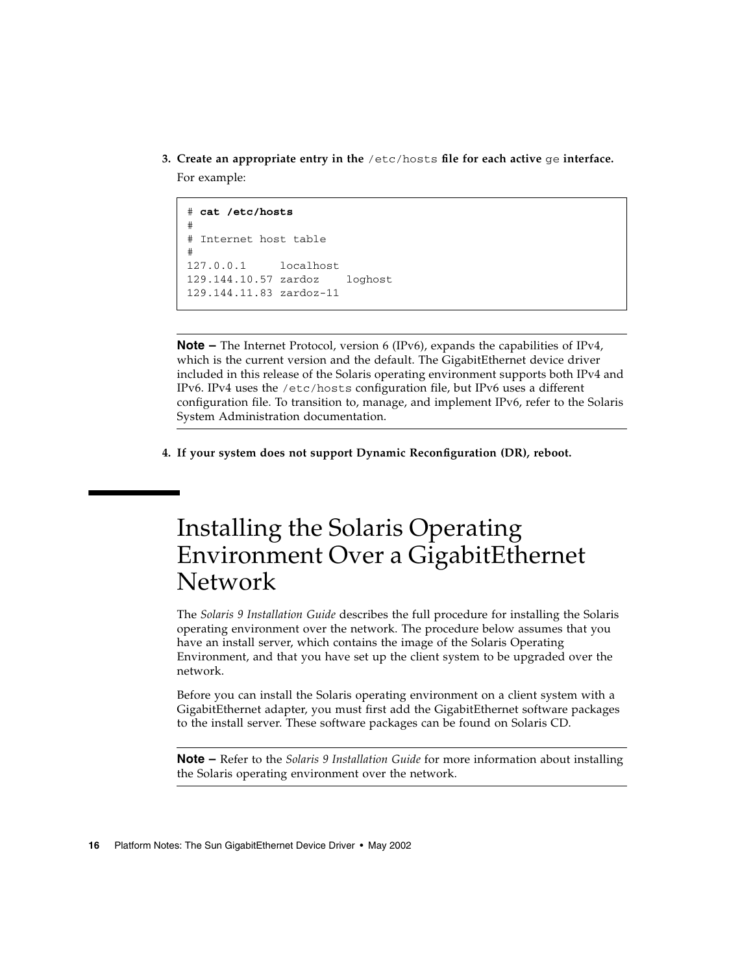**3. Create an appropriate entry in the** /etc/hosts **file for each active** ge **interface.** For example:

```
# cat /etc/hosts
#
# Internet host table
#
127.0.0.1 localhost
129.144.10.57 zardoz loghost
129.144.11.83 zardoz-11
```
**Note –** The Internet Protocol, version 6 (IPv6), expands the capabilities of IPv4, which is the current version and the default. The GigabitEthernet device driver included in this release of the Solaris operating environment supports both IPv4 and IPv6. IPv4 uses the /etc/hosts configuration file, but IPv6 uses a different configuration file. To transition to, manage, and implement IPv6, refer to the Solaris System Administration documentation.

**4. If your system does not support Dynamic Reconfiguration (DR), reboot.**

# <span id="page-23-0"></span>Installing the Solaris Operating Environment Over a GigabitEthernet Network

The *Solaris 9 Installation Guide* describes the full procedure for installing the Solaris operating environment over the network. The procedure below assumes that you have an install server, which contains the image of the Solaris Operating Environment, and that you have set up the client system to be upgraded over the network.

Before you can install the Solaris operating environment on a client system with a GigabitEthernet adapter, you must first add the GigabitEthernet software packages to the install server. These software packages can be found on Solaris CD.

**Note –** Refer to the *Solaris 9 Installation Guide* for more information about installing the Solaris operating environment over the network.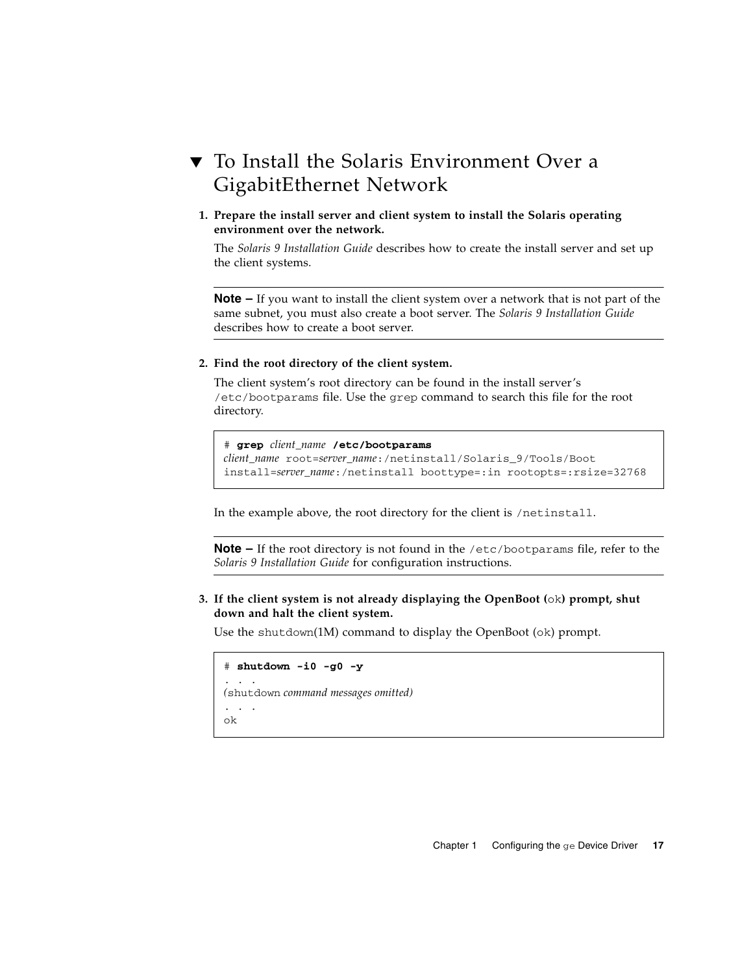## <span id="page-24-0"></span>▼ To Install the Solaris Environment Over a GigabitEthernet Network

**1. Prepare the install server and client system to install the Solaris operating environment over the network.**

The *Solaris 9 Installation Guide* describes how to create the install server and set up the client systems.

**Note –** If you want to install the client system over a network that is not part of the same subnet, you must also create a boot server. The *Solaris 9 Installation Guide* describes how to create a boot server.

#### **2. Find the root directory of the client system.**

The client system's root directory can be found in the install server's /etc/bootparams file. Use the grep command to search this file for the root directory.

# **grep** *client\_name* **/etc/bootparams** *client\_name* root=*server\_name*:/netinstall/Solaris\_9/Tools/Boot install=*server\_name*:/netinstall boottype=:in rootopts=:rsize=32768

In the example above, the root directory for the client is /netinstall.

**Note –** If the root directory is not found in the /etc/bootparams file, refer to the *Solaris 9 Installation Guide* for configuration instructions.

**3. If the client system is not already displaying the OpenBoot (**ok**) prompt, shut down and halt the client system.**

Use the shutdown(1M) command to display the OpenBoot (ok) prompt.

```
# shutdown -i0 -g0 -y
. . .
(shutdown command messages omitted)
. . .
ok
```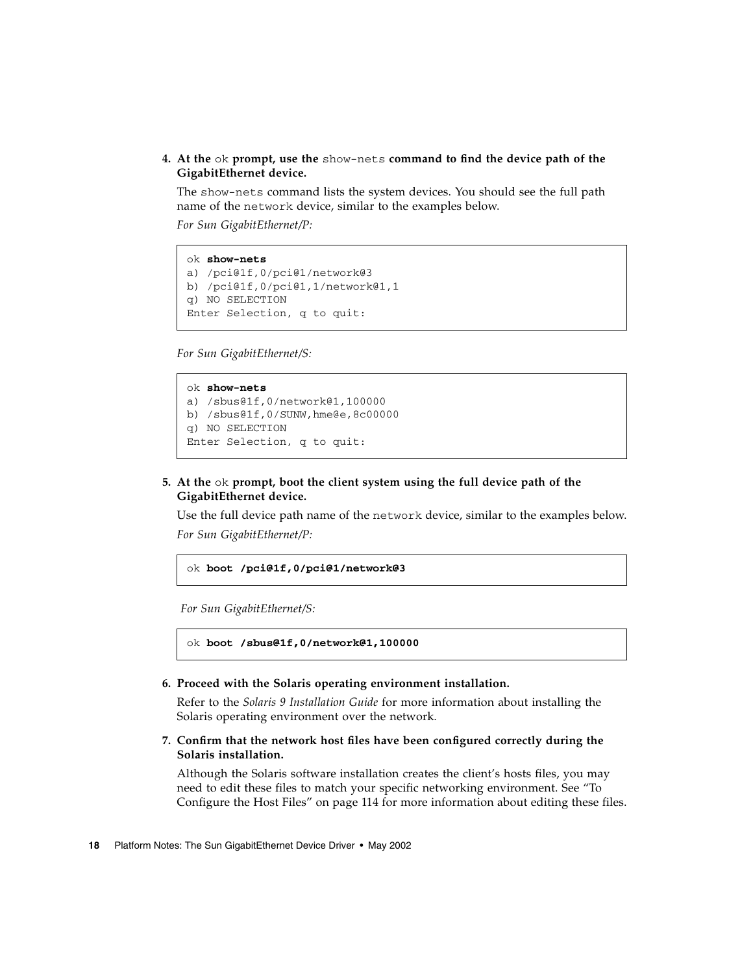**4. At the** ok **prompt, use the** show-nets **command to find the device path of the GigabitEthernet device.**

The show-nets command lists the system devices. You should see the full path name of the network device, similar to the examples below.

*For Sun GigabitEthernet/P:*

```
ok show-nets
a) /pci@1f,0/pci@1/network@3
b) /pci@1f,0/pci@1,1/network@1,1
q) NO SELECTION
Enter Selection, q to quit:
```
*For Sun GigabitEthernet/S:*

```
ok show-nets
a) /sbus@1f,0/network@1,100000
b) /sbus@1f,0/SUNW,hme@e,8c00000
q) NO SELECTION
Enter Selection, q to quit:
```
#### **5. At the** ok **prompt, boot the client system using the full device path of the GigabitEthernet device.**

Use the full device path name of the network device, similar to the examples below. *For Sun GigabitEthernet/P:*

```
ok boot /pci@1f,0/pci@1/network@3
```
*For Sun GigabitEthernet/S:*

```
ok boot /sbus@1f,0/network@1,100000
```
**6. Proceed with the Solaris operating environment installation.**

Refer to the *Solaris 9 Installation Guide* for more information about installing the Solaris operating environment over the network.

**7. Confirm that the network host files have been configured correctly during the Solaris installation.**

Although the Solaris software installation creates the client's hosts files, you may need to edit these files to match your specific networking environment. See ["To](#page-21-2) [Configure the Host Files" on page 114](#page-21-2) for more information about editing these files.